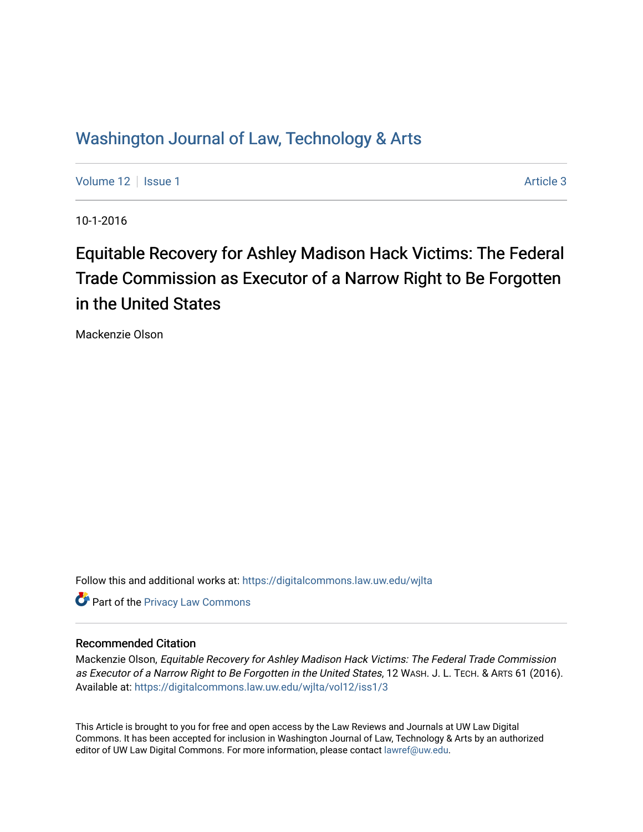# Washington Journal of Law, Technology & Arts

[Volume 12](https://digitalcommons.law.uw.edu/wjlta/vol12) | [Issue 1](https://digitalcommons.law.uw.edu/wjlta/vol12/iss1) Article 3

10-1-2016

# Equitable Recovery for Ashley Madison Hack Victims: The Federal Trade Commission as Executor of a Narrow Right to Be Forgotten in the United States

Mackenzie Olson

Follow this and additional works at: [https://digitalcommons.law.uw.edu/wjlta](https://digitalcommons.law.uw.edu/wjlta?utm_source=digitalcommons.law.uw.edu%2Fwjlta%2Fvol12%2Fiss1%2F3&utm_medium=PDF&utm_campaign=PDFCoverPages) 

**Part of the Privacy Law Commons** 

# Recommended Citation

Mackenzie Olson, Equitable Recovery for Ashley Madison Hack Victims: The Federal Trade Commission as Executor of a Narrow Right to Be Forgotten in the United States, 12 WASH. J. L. TECH. & ARTS 61 (2016). Available at: [https://digitalcommons.law.uw.edu/wjlta/vol12/iss1/3](https://digitalcommons.law.uw.edu/wjlta/vol12/iss1/3?utm_source=digitalcommons.law.uw.edu%2Fwjlta%2Fvol12%2Fiss1%2F3&utm_medium=PDF&utm_campaign=PDFCoverPages) 

This Article is brought to you for free and open access by the Law Reviews and Journals at UW Law Digital Commons. It has been accepted for inclusion in Washington Journal of Law, Technology & Arts by an authorized editor of UW Law Digital Commons. For more information, please contact [lawref@uw.edu](mailto:lawref@uw.edu).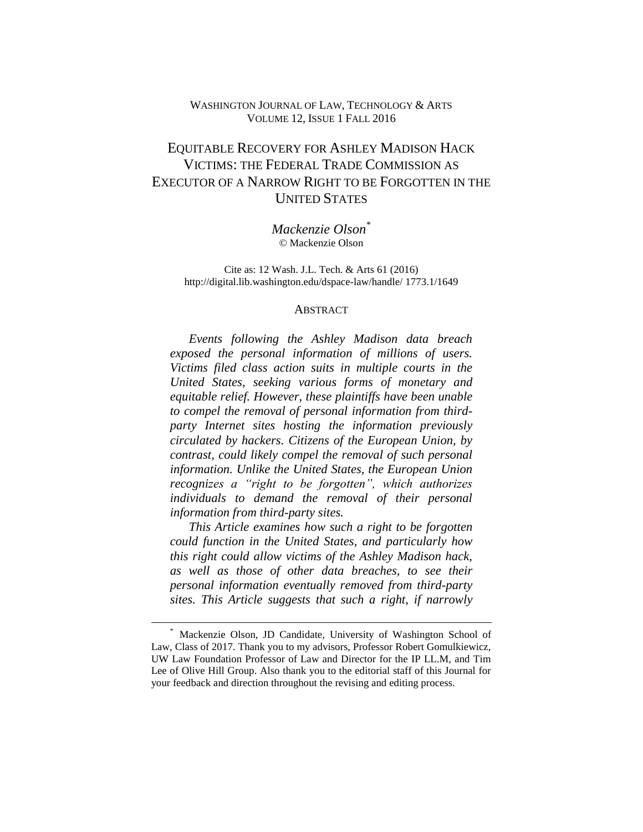# WASHINGTON JOURNAL OF LAW, TECHNOLOGY & ARTS VOLUME 12, ISSUE 1 FALL 2016

# EQUITABLE RECOVERY FOR ASHLEY MADISON HACK VICTIMS: THE FEDERAL TRADE COMMISSION AS EXECUTOR OF A NARROW RIGHT TO BE FORGOTTEN IN THE UNITED STATES

*Mackenzie Olson\** © Mackenzie Olson

Cite as: 12 Wash. J.L. Tech. & Arts 61 (2016) http://digital.lib.washington.edu/dspace-law/handle/ 1773.1/1649

#### **ABSTRACT**

*Events following the Ashley Madison data breach exposed the personal information of millions of users. Victims filed class action suits in multiple courts in the United States, seeking various forms of monetary and equitable relief. However, these plaintiffs have been unable to compel the removal of personal information from thirdparty Internet sites hosting the information previously circulated by hackers. Citizens of the European Union, by contrast, could likely compel the removal of such personal information. Unlike the United States, the European Union recognizes a "right to be forgotten", which authorizes individuals to demand the removal of their personal information from third-party sites.* 

*This Article examines how such a right to be forgotten could function in the United States, and particularly how this right could allow victims of the Ashley Madison hack, as well as those of other data breaches, to see their personal information eventually removed from third-party sites. This Article suggests that such a right, if narrowly* 

<sup>\*</sup> Mackenzie Olson, JD Candidate, University of Washington School of Law, Class of 2017. Thank you to my advisors, Professor Robert Gomulkiewicz, UW Law Foundation Professor of Law and Director for the IP LL.M, and Tim Lee of Olive Hill Group. Also thank you to the editorial staff of this Journal for your feedback and direction throughout the revising and editing process.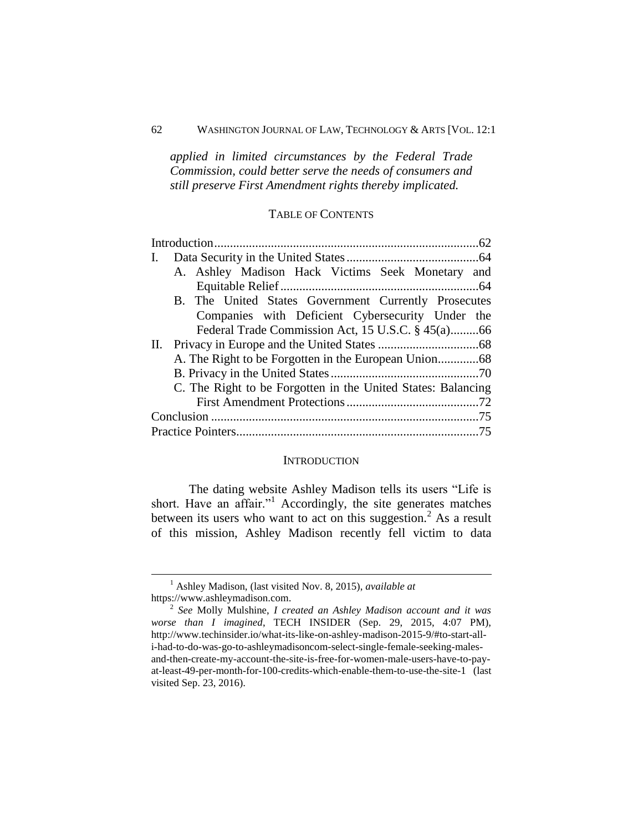# 62 WASHINGTON JOURNAL OF LAW, TECHNOLOGY & ARTS [VOL. 12:1

*applied in limited circumstances by the Federal Trade Commission, could better serve the needs of consumers and still preserve First Amendment rights thereby implicated.*

# TABLE OF CONTENTS

| I.                                                           |  |
|--------------------------------------------------------------|--|
| A. Ashley Madison Hack Victims Seek Monetary<br>and          |  |
|                                                              |  |
| B. The United States Government Currently Prosecutes         |  |
| Companies with Deficient Cybersecurity Under the             |  |
| Federal Trade Commission Act, 15 U.S.C. § 45(a)66            |  |
|                                                              |  |
|                                                              |  |
|                                                              |  |
| C. The Right to be Forgotten in the United States: Balancing |  |
|                                                              |  |
|                                                              |  |
|                                                              |  |
|                                                              |  |

#### **INTRODUCTION**

<span id="page-2-0"></span>The dating website Ashley Madison tells its users "Life is short. Have an affair."<sup>1</sup> Accordingly, the site generates matches between its users who want to act on this suggestion.<sup>2</sup> As a result of this mission, Ashley Madison recently fell victim to data

<sup>1</sup> Ashley Madison, (last visited Nov. 8, 2015), *available at* https://www.ashleymadison.com.

<sup>2</sup> *See* Molly Mulshine, *I created an Ashley Madison account and it was worse than I imagined*, TECH INSIDER (Sep. 29, 2015, 4:07 PM), http://www.techinsider.io/what-its-like-on-ashley-madison-2015-9/#to-start-alli-had-to-do-was-go-to-ashleymadisoncom-select-single-female-seeking-malesand-then-create-my-account-the-site-is-free-for-women-male-users-have-to-payat-least-49-per-month-for-100-credits-which-enable-them-to-use-the-site-1 (last visited Sep. 23, 2016).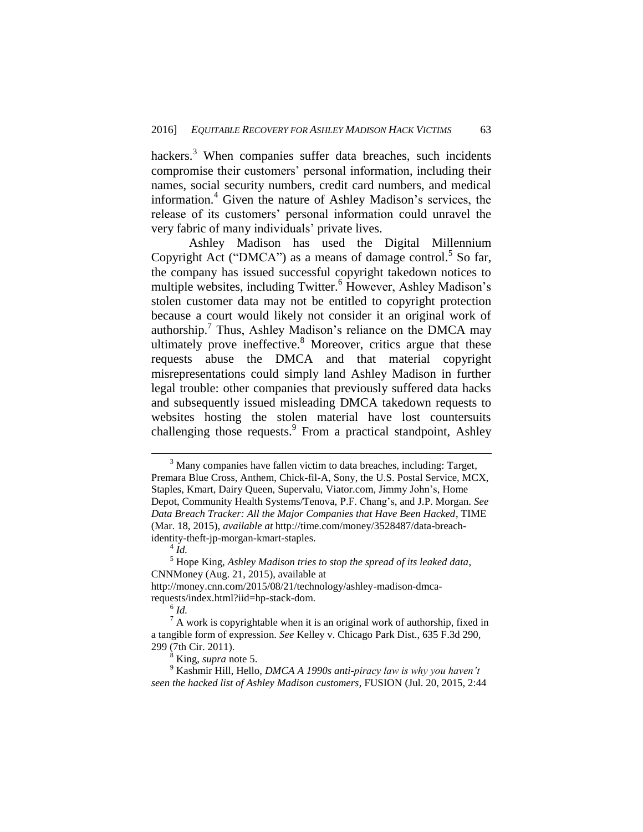hackers. $3$  When companies suffer data breaches, such incidents compromise their customers' personal information, including their names, social security numbers, credit card numbers, and medical information.<sup>4</sup> Given the nature of Ashley Madison's services, the release of its customers' personal information could unravel the very fabric of many individuals' private lives.

Ashley Madison has used the Digital Millennium Copyright Act ("DMCA") as a means of damage control.<sup>5</sup> So far, the company has issued successful copyright takedown notices to multiple websites, including Twitter.<sup>6</sup> However, Ashley Madison's stolen customer data may not be entitled to copyright protection because a court would likely not consider it an original work of authorship.<sup>7</sup> Thus, Ashley Madison's reliance on the DMCA may ultimately prove ineffective.<sup>8</sup> Moreover, critics argue that these requests abuse the DMCA and that material copyright misrepresentations could simply land Ashley Madison in further legal trouble: other companies that previously suffered data hacks and subsequently issued misleading DMCA takedown requests to websites hosting the stolen material have lost countersuits challenging those requests.<sup>9</sup> From a practical standpoint, Ashley

 $\overline{a}$ 

6 *Id.*

<sup>&</sup>lt;sup>3</sup> Many companies have fallen victim to data breaches, including: Target, Premara Blue Cross, Anthem, Chick-fil-A, Sony, the U.S. Postal Service, MCX, Staples, Kmart, Dairy Queen, Supervalu, Viator.com, Jimmy John's, Home Depot, Community Health Systems/Tenova, P.F. Chang's, and J.P. Morgan. *See Data Breach Tracker: All the Major Companies that Have Been Hacked*, TIME (Mar. 18, 2015), *available at* http://time.com/money/3528487/data-breachidentity-theft-jp-morgan-kmart-staples.

 $^{4}$ *Id.* 

<sup>5</sup> Hope King, *Ashley Madison tries to stop the spread of its leaked data*, CNNMoney (Aug. 21, 2015), available at

http://money.cnn.com/2015/08/21/technology/ashley-madison-dmcarequests/index.html?iid=hp-stack-dom.

 $7A$  work is copyrightable when it is an original work of authorship, fixed in a tangible form of expression. *See* Kelley v. Chicago Park Dist., 635 F.3d 290, 299 (7th Cir. 2011).

<sup>8</sup> King, *supra* note 5.

<sup>9</sup> Kashmir Hill, Hello, *DMCA A 1990s anti-piracy law is why you haven't seen the hacked list of Ashley Madison customers*, FUSION (Jul. 20, 2015, 2:44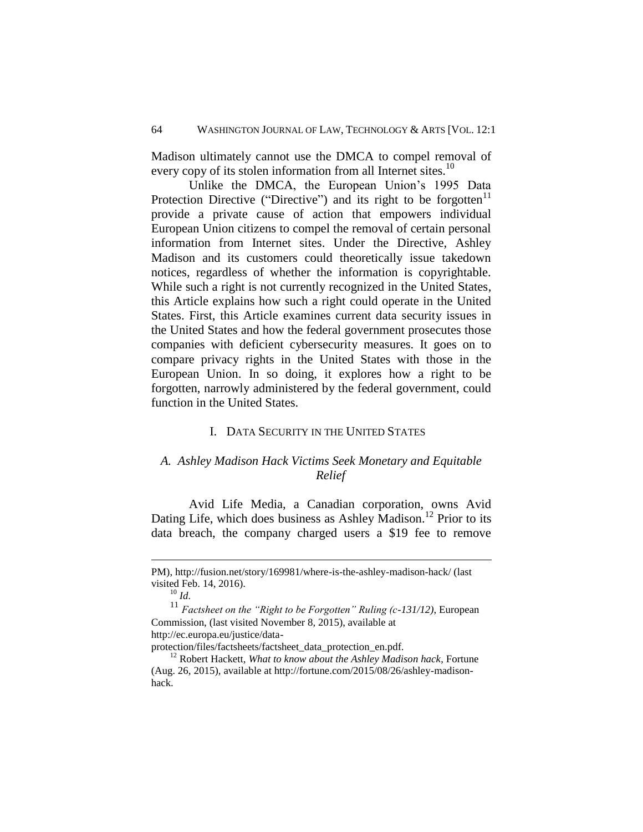Madison ultimately cannot use the DMCA to compel removal of every copy of its stolen information from all Internet sites.<sup>10</sup>

Unlike the DMCA, the European Union's 1995 Data Protection Directive ("Directive") and its right to be forgotten $11$ provide a private cause of action that empowers individual European Union citizens to compel the removal of certain personal information from Internet sites. Under the Directive, Ashley Madison and its customers could theoretically issue takedown notices, regardless of whether the information is copyrightable. While such a right is not currently recognized in the United States, this Article explains how such a right could operate in the United States. First, this Article examines current data security issues in the United States and how the federal government prosecutes those companies with deficient cybersecurity measures. It goes on to compare privacy rights in the United States with those in the European Union. In so doing, it explores how a right to be forgotten, narrowly administered by the federal government, could function in the United States.

#### I. DATA SECURITY IN THE UNITED STATES

# <span id="page-4-1"></span><span id="page-4-0"></span>*A. Ashley Madison Hack Victims Seek Monetary and Equitable Relief*

Avid Life Media, a Canadian corporation, owns Avid Dating Life, which does business as Ashley Madison.<sup>12</sup> Prior to its data breach, the company charged users a \$19 fee to remove

 $\overline{a}$ 

<sup>11</sup> *Factsheet on the "Right to be Forgotten" Ruling (c-131/12)*, European Commission, (last visited November 8, 2015), available at http://ec.europa.eu/justice/data-

protection/files/factsheets/factsheet\_data\_protection\_en.pdf.

PM), http://fusion.net/story/169981/where-is-the-ashley-madison-hack/ (last visited Feb. 14, 2016).

 $^{10}$  *Id.* 

<sup>12</sup> Robert Hackett, *What to know about the Ashley Madison hack*, Fortune (Aug. 26, 2015), available at http://fortune.com/2015/08/26/ashley-madisonhack.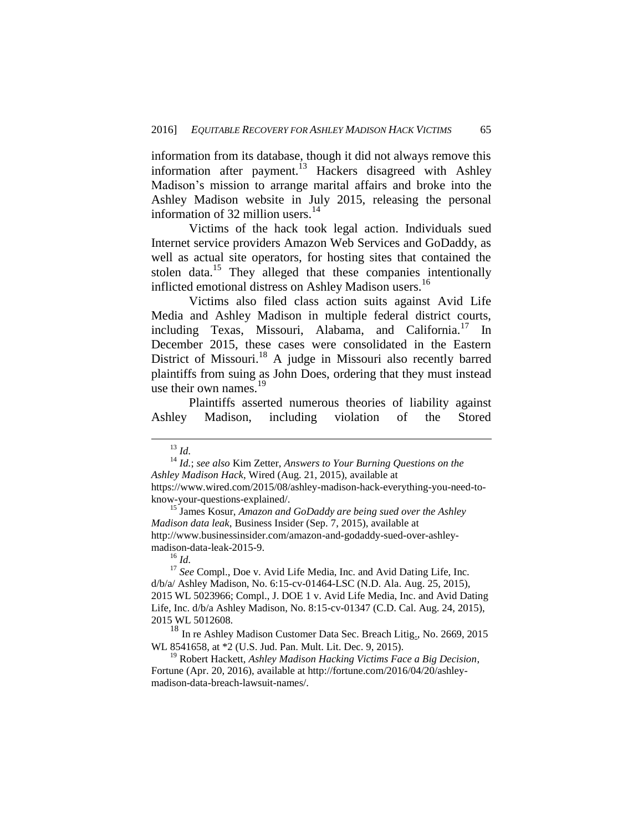information from its database, though it did not always remove this information after payment.<sup>13</sup> Hackers disagreed with Ashley Madison's mission to arrange marital affairs and broke into the Ashley Madison website in July 2015, releasing the personal information of 32 million users. $14$ 

Victims of the hack took legal action. Individuals sued Internet service providers Amazon Web Services and GoDaddy, as well as actual site operators, for hosting sites that contained the stolen data.<sup>15</sup> They alleged that these companies intentionally inflicted emotional distress on Ashley Madison users.<sup>16</sup>

Victims also filed class action suits against Avid Life Media and Ashley Madison in multiple federal district courts, including Texas, Missouri, Alabama, and California.<sup>17</sup> In December 2015, these cases were consolidated in the Eastern District of Missouri.<sup>18</sup> A judge in Missouri also recently barred plaintiffs from suing as John Does, ordering that they must instead use their own names. $19$ 

Plaintiffs asserted numerous theories of liability against Ashley Madison, including violation of the Stored

<sup>13</sup> *Id.* 

<sup>14</sup> *Id.*; *see also* Kim Zetter, *Answers to Your Burning Questions on the Ashley Madison Hack*, Wired (Aug. 21, 2015), available at https://www.wired.com/2015/08/ashley-madison-hack-everything-you-need-toknow-your-questions-explained/.

<sup>15</sup> James Kosur, *Amazon and GoDaddy are being sued over the Ashley Madison data leak*, Business Insider (Sep. 7, 2015), available at http://www.businessinsider.com/amazon-and-godaddy-sued-over-ashleymadison-data-leak-2015-9.

 $^{16}$  *Id.* 

<sup>&</sup>lt;sup>17</sup> See Compl., Doe v. Avid Life Media, Inc. and Avid Dating Life, Inc. d/b/a/ Ashley Madison, No. 6:15-cv-01464-LSC (N.D. Ala. Aug. 25, 2015), 2015 WL 5023966; Compl., J. DOE 1 v. Avid Life Media, Inc. and Avid Dating Life, Inc. d/b/a Ashley Madison, No. 8:15-cv-01347 (C.D. Cal. Aug. 24, 2015), 2015 WL 5012608.

<sup>&</sup>lt;sup>18</sup> In re Ashley Madison Customer Data Sec. Breach Litig<sub>1</sub>, No. 2669, 2015 WL 8541658, at \*2 (U.S. Jud. Pan. Mult. Lit. Dec. 9, 2015).

<sup>19</sup> Robert Hackett, *Ashley Madison Hacking Victims Face a Big Decision*, Fortune (Apr. 20, 2016), available at http://fortune.com/2016/04/20/ashleymadison-data-breach-lawsuit-names/.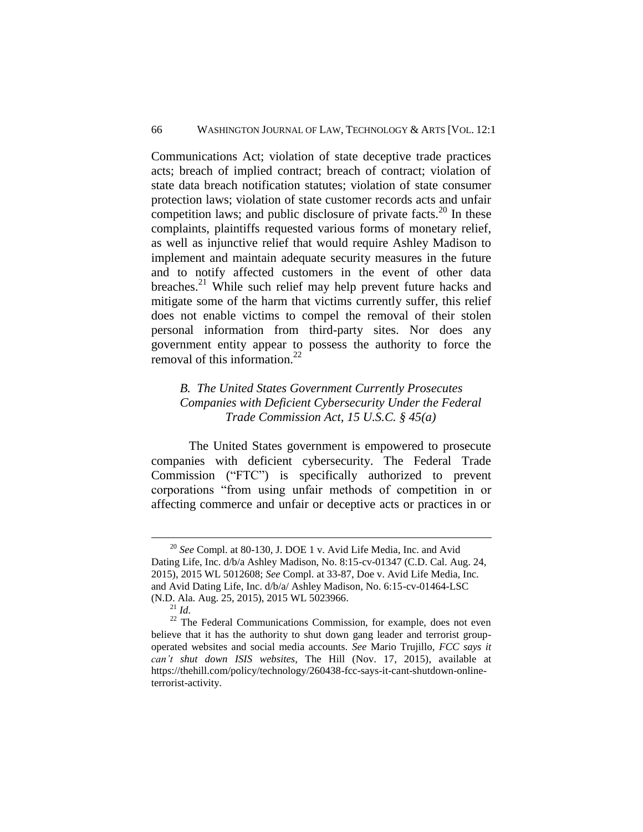Communications Act; violation of state deceptive trade practices acts; breach of implied contract; breach of contract; violation of state data breach notification statutes; violation of state consumer protection laws; violation of state customer records acts and unfair competition laws; and public disclosure of private facts. $^{20}$  In these complaints, plaintiffs requested various forms of monetary relief, as well as injunctive relief that would require Ashley Madison to implement and maintain adequate security measures in the future and to notify affected customers in the event of other data breaches.<sup>21</sup> While such relief may help prevent future hacks and mitigate some of the harm that victims currently suffer, this relief does not enable victims to compel the removal of their stolen personal information from third-party sites. Nor does any government entity appear to possess the authority to force the removal of this information.<sup>22</sup>

# <span id="page-6-0"></span>*B. The United States Government Currently Prosecutes Companies with Deficient Cybersecurity Under the Federal Trade Commission Act, 15 U.S.C. § 45(a)*

The United States government is empowered to prosecute companies with deficient cybersecurity. The Federal Trade Commission ("FTC") is specifically authorized to prevent corporations "from using unfair methods of competition in or affecting commerce and unfair or deceptive acts or practices in or

<sup>20</sup> *See* Compl. at 80-130, J. DOE 1 v. Avid Life Media, Inc. and Avid Dating Life, Inc. d/b/a Ashley Madison, No. 8:15-cv-01347 (C.D. Cal. Aug. 24, 2015), 2015 WL 5012608; *See* Compl. at 33-87, Doe v. Avid Life Media, Inc. and Avid Dating Life, Inc. d/b/a/ Ashley Madison, No. 6:15-cv-01464-LSC (N.D. Ala. Aug. 25, 2015), 2015 WL 5023966.

<sup>21</sup> *Id.*

<sup>&</sup>lt;sup>22</sup> The Federal Communications Commission, for example, does not even believe that it has the authority to shut down gang leader and terrorist groupoperated websites and social media accounts. *See* Mario Trujillo, *FCC says it can't shut down ISIS websites*, The Hill (Nov. 17, 2015), available at https://thehill.com/policy/technology/260438-fcc-says-it-cant-shutdown-onlineterrorist-activity.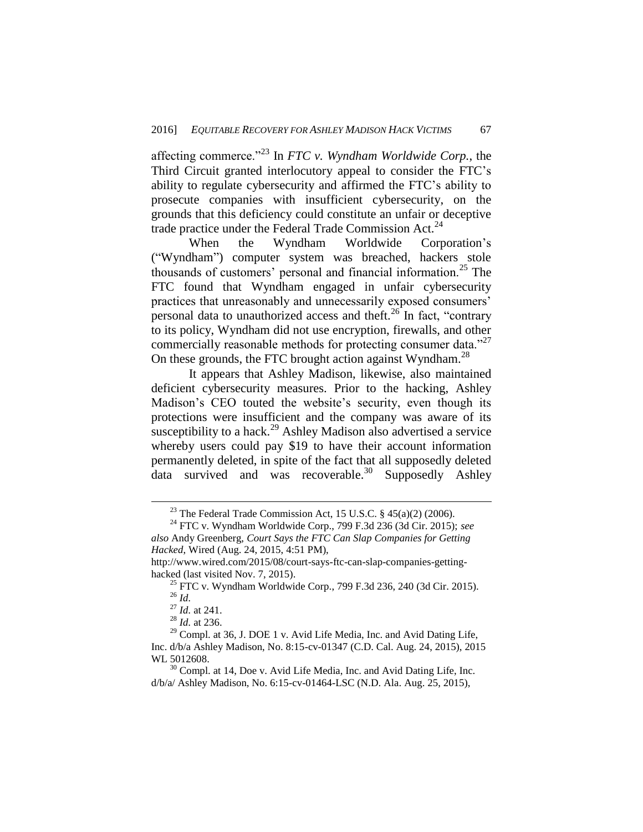affecting commerce."<sup>23</sup> In *FTC v. Wyndham Worldwide Corp.*, the Third Circuit granted interlocutory appeal to consider the FTC's ability to regulate cybersecurity and affirmed the FTC's ability to prosecute companies with insufficient cybersecurity, on the grounds that this deficiency could constitute an unfair or deceptive trade practice under the Federal Trade Commission Act.<sup>24</sup>

When the Wyndham Worldwide Corporation's ("Wyndham") computer system was breached, hackers stole thousands of customers' personal and financial information.<sup>25</sup> The FTC found that Wyndham engaged in unfair cybersecurity practices that unreasonably and unnecessarily exposed consumers' personal data to unauthorized access and theft.<sup>26</sup> In fact, "contrary to its policy, Wyndham did not use encryption, firewalls, and other commercially reasonable methods for protecting consumer data."<sup>27</sup> On these grounds, the FTC brought action against Wyndham.<sup>28</sup>

It appears that Ashley Madison, likewise, also maintained deficient cybersecurity measures. Prior to the hacking, Ashley Madison's CEO touted the website's security, even though its protections were insufficient and the company was aware of its susceptibility to a hack.<sup>29</sup> Ashley Madison also advertised a service whereby users could pay \$19 to have their account information permanently deleted, in spite of the fact that all supposedly deleted data survived and was recoverable.<sup>30</sup> Supposedly Ashley

<sup>&</sup>lt;sup>23</sup> The Federal Trade Commission Act, 15 U.S.C.  $\S$  45(a)(2) (2006).

<sup>24</sup> FTC v. Wyndham Worldwide Corp., 799 F.3d 236 (3d Cir. 2015); *see also* Andy Greenberg, *Court Says the FTC Can Slap Companies for Getting Hacked*, Wired (Aug. 24, 2015, 4:51 PM),

http://www.wired.com/2015/08/court-says-ftc-can-slap-companies-gettinghacked (last visited Nov. 7, 2015).

<sup>&</sup>lt;sup>25</sup> FTC v. Wyndham Worldwide Corp., 799 F.3d 236, 240 (3d Cir. 2015). <sup>26</sup> *Id.*

<sup>27</sup> *Id.* at 241.

<sup>28</sup> *Id.* at 236.

<sup>&</sup>lt;sup>29</sup> Compl. at 36, J. DOE 1 v. Avid Life Media, Inc. and Avid Dating Life, Inc. d/b/a Ashley Madison, No. 8:15-cv-01347 (C.D. Cal. Aug. 24, 2015), 2015 WL 5012608.

<sup>&</sup>lt;sup>30</sup> Compl. at 14, Doe v. Avid Life Media, Inc. and Avid Dating Life, Inc. d/b/a/ Ashley Madison, No. 6:15-cv-01464-LSC (N.D. Ala. Aug. 25, 2015),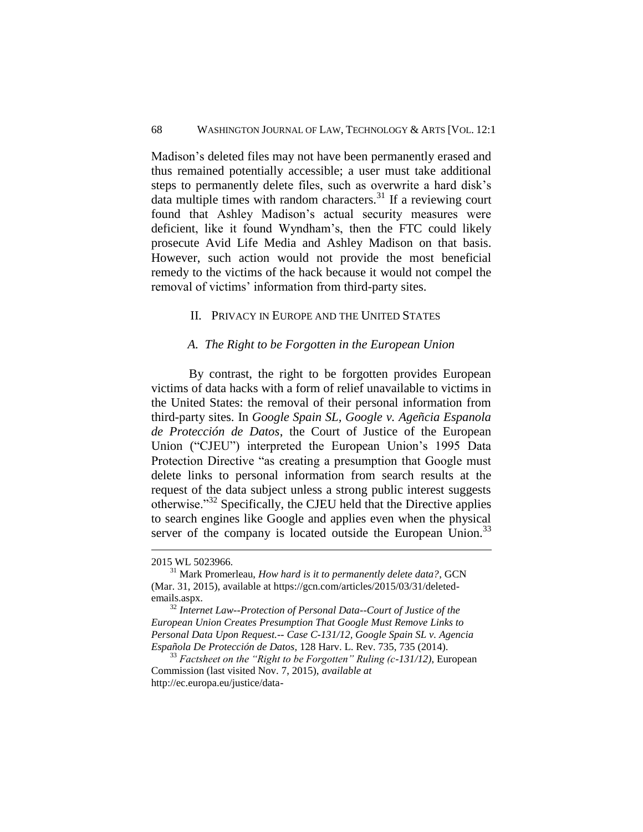Madison's deleted files may not have been permanently erased and thus remained potentially accessible; a user must take additional steps to permanently delete files, such as overwrite a hard disk's data multiple times with random characters. $31$  If a reviewing court found that Ashley Madison's actual security measures were deficient, like it found Wyndham's, then the FTC could likely prosecute Avid Life Media and Ashley Madison on that basis. However, such action would not provide the most beneficial remedy to the victims of the hack because it would not compel the removal of victims' information from third-party sites.

#### <span id="page-8-0"></span>II. PRIVACY IN EUROPE AND THE UNITED STATES

#### *A. The Right to be Forgotten in the European Union*

<span id="page-8-1"></span>By contrast, the right to be forgotten provides European victims of data hacks with a form of relief unavailable to victims in the United States: the removal of their personal information from third-party sites. In *Google Spain SL, Google v. Ageñcia Espanola de Protección de Datos*, the Court of Justice of the European Union ("CJEU") interpreted the European Union's 1995 Data Protection Directive "as creating a presumption that Google must delete links to personal information from search results at the request of the data subject unless a strong public interest suggests otherwise."<sup>32</sup> Specifically, the CJEU held that the Directive applies to search engines like Google and applies even when the physical server of the company is located outside the European Union.<sup>33</sup>

<sup>2015</sup> WL 5023966.

<sup>31</sup> Mark Promerleau, *How hard is it to permanently delete data?*, GCN (Mar. 31, 2015), available at https://gcn.com/articles/2015/03/31/deletedemails.aspx.

<sup>32</sup> *Internet Law--Protection of Personal Data--Court of Justice of the European Union Creates Presumption That Google Must Remove Links to Personal Data Upon Request.-- Case C-131/12, Google Spain SL v. Agencia Española De Protección de Datos*, 128 Harv. L. Rev. 735, 735 (2014).

<sup>33</sup> *Factsheet on the "Right to be Forgotten" Ruling (c-131/12)*, European Commission (last visited Nov. 7, 2015), *available at*  http://ec.europa.eu/justice/data-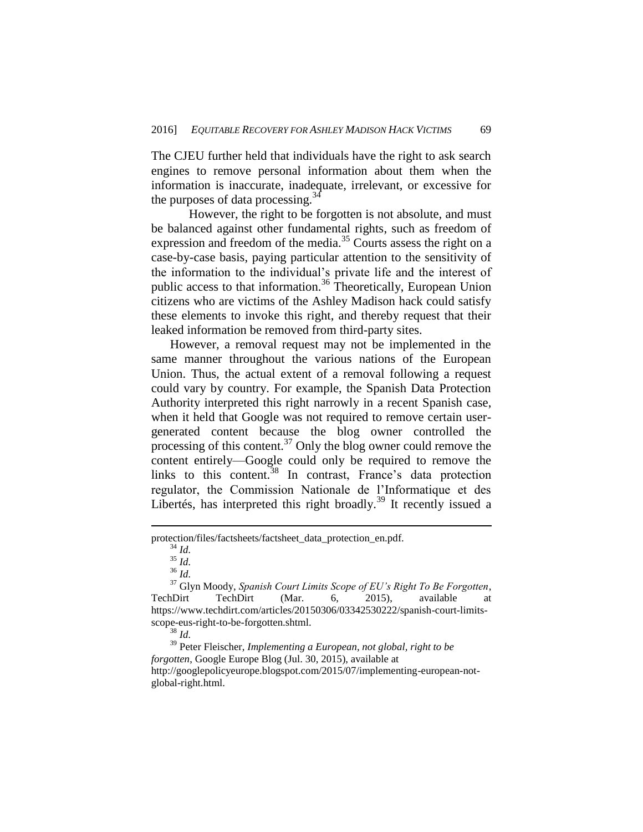The CJEU further held that individuals have the right to ask search engines to remove personal information about them when the information is inaccurate, inadequate, irrelevant, or excessive for the purposes of data processing. $34$ 

However, the right to be forgotten is not absolute, and must be balanced against other fundamental rights, such as freedom of expression and freedom of the media.<sup>35</sup> Courts assess the right on a case-by-case basis, paying particular attention to the sensitivity of the information to the individual's private life and the interest of public access to that information.<sup>36</sup> Theoretically, European Union citizens who are victims of the Ashley Madison hack could satisfy these elements to invoke this right, and thereby request that their leaked information be removed from third-party sites.

However, a removal request may not be implemented in the same manner throughout the various nations of the European Union. Thus, the actual extent of a removal following a request could vary by country. For example, the Spanish Data Protection Authority interpreted this right narrowly in a recent Spanish case, when it held that Google was not required to remove certain usergenerated content because the blog owner controlled the processing of this content. $^{37}$  Only the blog owner could remove the content entirely—Google could only be required to remove the links to this content.<sup>38</sup> In contrast, France's data protection regulator, the Commission Nationale de l'Informatique et des Libertés, has interpreted this right broadly.<sup>39</sup> It recently issued a

 $\overline{a}$ 

<sup>39</sup> Peter Fleischer, *Implementing a European, not global, right to be forgotten*, Google Europe Blog (Jul. 30, 2015), available at http://googlepolicyeurope.blogspot.com/2015/07/implementing-european-notglobal-right.html.

protection/files/factsheets/factsheet\_data\_protection\_en.pdf.

<sup>34</sup> *Id.*

<sup>35</sup> *Id.*

<sup>36</sup> *Id.*

<sup>37</sup> Glyn Moody, *Spanish Court Limits Scope of EU's Right To Be Forgotten*, TechDirt TechDirt (Mar. 6, 2015), available at https://www.techdirt.com/articles/20150306/03342530222/spanish-court-limitsscope-eus-right-to-be-forgotten.shtml.

<sup>38</sup> *Id.*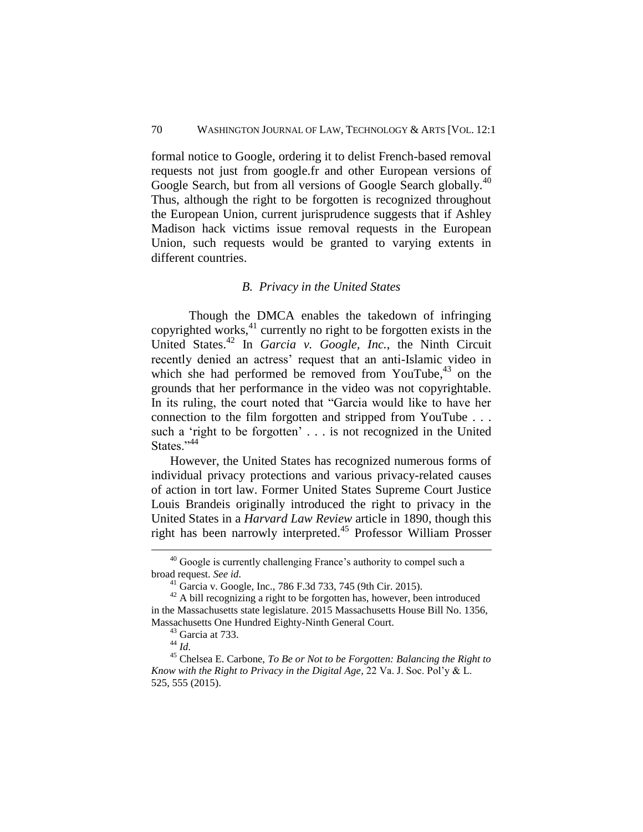formal notice to Google, ordering it to delist French-based removal requests not just from google.fr and other European versions of Google Search, but from all versions of Google Search globally.<sup>40</sup> Thus, although the right to be forgotten is recognized throughout the European Union, current jurisprudence suggests that if Ashley Madison hack victims issue removal requests in the European Union, such requests would be granted to varying extents in different countries.

# *B. Privacy in the United States*

<span id="page-10-0"></span>Though the DMCA enables the takedown of infringing copyrighted works,  $41$  currently no right to be forgotten exists in the United States.<sup>42</sup> In *Garcia v. Google, Inc.*, the Ninth Circuit recently denied an actress' request that an anti-Islamic video in which she had performed be removed from YouTube,<sup>43</sup> on the grounds that her performance in the video was not copyrightable. In its ruling, the court noted that "Garcia would like to have her connection to the film forgotten and stripped from YouTube . . . such a 'right to be forgotten' . . . is not recognized in the United States."<sup>44</sup>

However, the United States has recognized numerous forms of individual privacy protections and various privacy-related causes of action in tort law. Former United States Supreme Court Justice Louis Brandeis originally introduced the right to privacy in the United States in a *Harvard Law Review* article in 1890, though this right has been narrowly interpreted.<sup>45</sup> Professor William Prosser

<sup>&</sup>lt;sup>40</sup> Google is currently challenging France's authority to compel such a broad request. *See id.*

<sup>41</sup> Garcia v. Google, Inc., 786 F.3d 733, 745 (9th Cir. 2015).

 $42$  A bill recognizing a right to be forgotten has, however, been introduced in the Massachusetts state legislature. 2015 Massachusetts House Bill No. 1356, Massachusetts One Hundred Eighty-Ninth General Court.

 $43$  Garcia at 733.

<sup>44</sup> *Id.*

<sup>45</sup> Chelsea E. Carbone, *To Be or Not to be Forgotten: Balancing the Right to Know with the Right to Privacy in the Digital Age*, 22 Va. J. Soc. Pol'y & L. 525, 555 (2015).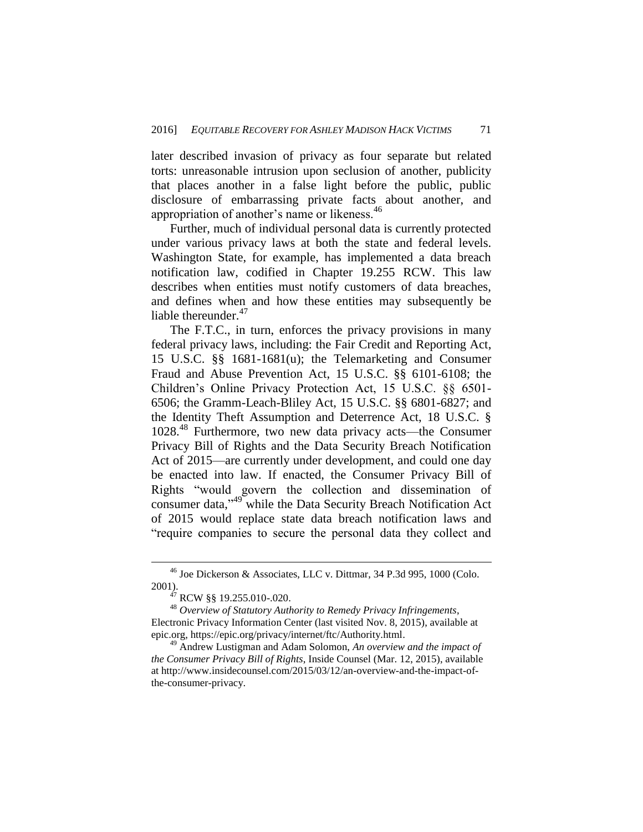later described invasion of privacy as four separate but related torts: unreasonable intrusion upon seclusion of another, publicity that places another in a false light before the public, public disclosure of embarrassing private facts about another, and appropriation of another's name or likeness.<sup>46</sup>

Further, much of individual personal data is currently protected under various privacy laws at both the state and federal levels. Washington State, for example, has implemented a data breach notification law, codified in Chapter 19.255 RCW. This law describes when entities must notify customers of data breaches, and defines when and how these entities may subsequently be liable thereunder.<sup>47</sup>

The F.T.C., in turn, enforces the privacy provisions in many federal privacy laws, including: the Fair Credit and Reporting Act, 15 U.S.C. §§ 1681-1681(u); the Telemarketing and Consumer Fraud and Abuse Prevention Act, 15 U.S.C. §§ 6101-6108; the Children's Online Privacy Protection Act, 15 U.S.C. §§ 6501- 6506; the Gramm-Leach-Bliley Act, 15 U.S.C. §§ 6801-6827; and the Identity Theft Assumption and Deterrence Act, 18 U.S.C. § 1028. <sup>48</sup> Furthermore, two new data privacy acts—the Consumer Privacy Bill of Rights and the Data Security Breach Notification Act of 2015—are currently under development, and could one day be enacted into law. If enacted, the Consumer Privacy Bill of Rights "would govern the collection and dissemination of consumer data,"<sup>49</sup> while the Data Security Breach Notification Act of 2015 would replace state data breach notification laws and "require companies to secure the personal data they collect and

<sup>46</sup> Joe Dickerson & Associates, LLC v. Dittmar, 34 P.3d 995, 1000 (Colo. 2001).

 $47$  RCW §§ 19.255.010-.020.

<sup>48</sup> *Overview of Statutory Authority to Remedy Privacy Infringements*, Electronic Privacy Information Center (last visited Nov. 8, 2015), available at epic.org, https://epic.org/privacy/internet/ftc/Authority.html.

<sup>49</sup> Andrew Lustigman and Adam Solomon, *An overview and the impact of the Consumer Privacy Bill of Rights*, Inside Counsel (Mar. 12, 2015), available at http://www.insidecounsel.com/2015/03/12/an-overview-and-the-impact-ofthe-consumer-privacy.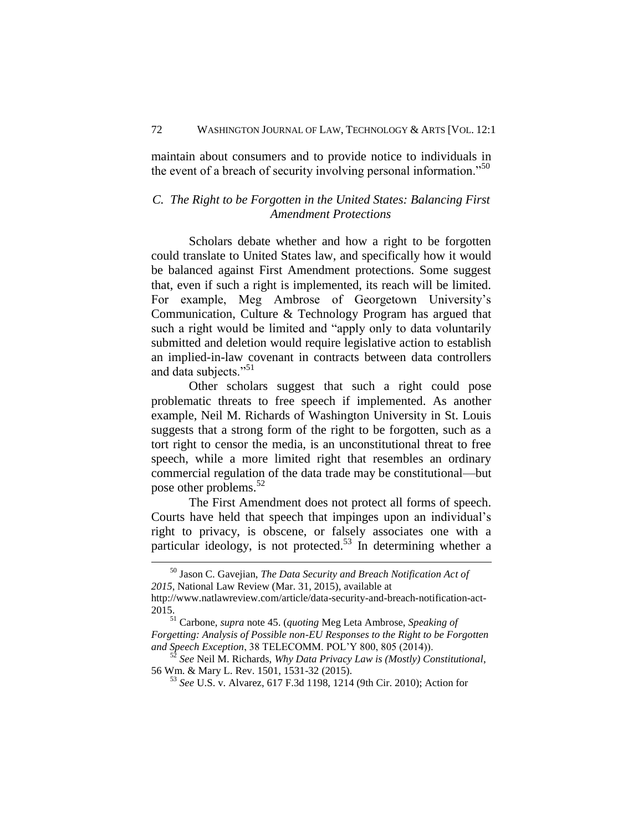<span id="page-12-0"></span>maintain about consumers and to provide notice to individuals in the event of a breach of security involving personal information.<sup>"50</sup>

# *C. The Right to be Forgotten in the United States: Balancing First Amendment Protections*

Scholars debate whether and how a right to be forgotten could translate to United States law, and specifically how it would be balanced against First Amendment protections. Some suggest that, even if such a right is implemented, its reach will be limited. For example, Meg Ambrose of Georgetown University's Communication, Culture & Technology Program has argued that such a right would be limited and "apply only to data voluntarily submitted and deletion would require legislative action to establish an implied-in-law covenant in contracts between data controllers and data subjects."<sup>51</sup>

Other scholars suggest that such a right could pose problematic threats to free speech if implemented. As another example, Neil M. Richards of Washington University in St. Louis suggests that a strong form of the right to be forgotten, such as a tort right to censor the media, is an unconstitutional threat to free speech, while a more limited right that resembles an ordinary commercial regulation of the data trade may be constitutional—but pose other problems.<sup>52</sup>

The First Amendment does not protect all forms of speech. Courts have held that speech that impinges upon an individual's right to privacy, is obscene, or falsely associates one with a particular ideology, is not protected.<sup>53</sup> In determining whether a

<sup>50</sup> Jason C. Gavejian, *The Data Security and Breach Notification Act of 2015*, National Law Review (Mar. 31, 2015), available at

http://www.natlawreview.com/article/data-security-and-breach-notification-act-2015.

<sup>51</sup> Carbone, *supra* note 45. (*quoting* Meg Leta Ambrose, *Speaking of Forgetting: Analysis of Possible non-EU Responses to the Right to be Forgotten and Speech Exception*, 38 TELECOMM. POL'Y 800, 805 (2014)).

<sup>52</sup> *See* Neil M. Richards, *Why Data Privacy Law is (Mostly) Constitutional*, 56 Wm. & Mary L. Rev. 1501, 1531-32 (2015).

<sup>53</sup> *See* U.S. v. Alvarez, 617 F.3d 1198, 1214 (9th Cir. 2010); Action for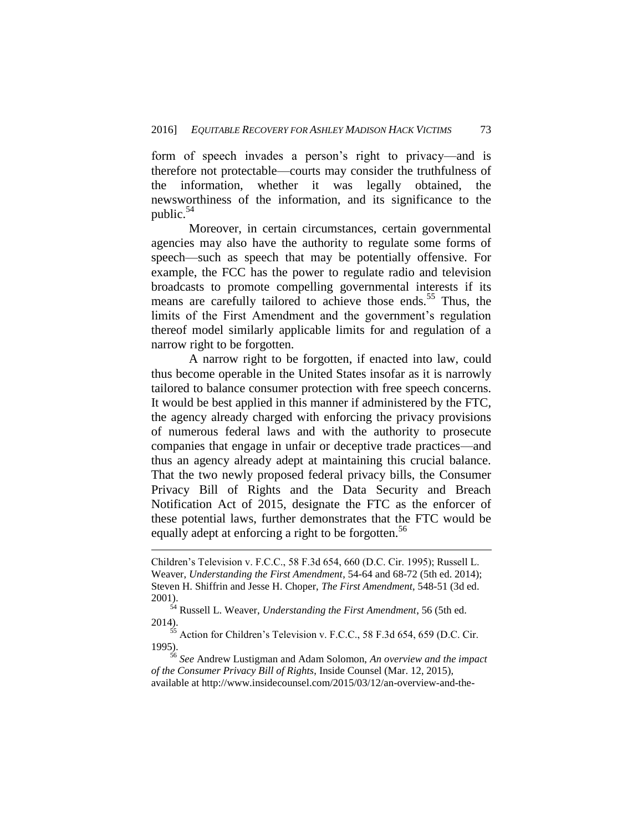form of speech invades a person's right to privacy—and is therefore not protectable—courts may consider the truthfulness of the information, whether it was legally obtained, the newsworthiness of the information, and its significance to the public.<sup>54</sup>

Moreover, in certain circumstances, certain governmental agencies may also have the authority to regulate some forms of speech—such as speech that may be potentially offensive. For example, the FCC has the power to regulate radio and television broadcasts to promote compelling governmental interests if its means are carefully tailored to achieve those ends.<sup>55</sup> Thus, the limits of the First Amendment and the government's regulation thereof model similarly applicable limits for and regulation of a narrow right to be forgotten.

A narrow right to be forgotten, if enacted into law, could thus become operable in the United States insofar as it is narrowly tailored to balance consumer protection with free speech concerns. It would be best applied in this manner if administered by the FTC, the agency already charged with enforcing the privacy provisions of numerous federal laws and with the authority to prosecute companies that engage in unfair or deceptive trade practices—and thus an agency already adept at maintaining this crucial balance. That the two newly proposed federal privacy bills, the Consumer Privacy Bill of Rights and the Data Security and Breach Notification Act of 2015, designate the FTC as the enforcer of these potential laws, further demonstrates that the FTC would be equally adept at enforcing a right to be forgotten.<sup>56</sup>

Children's Television v. F.C.C., 58 F.3d 654, 660 (D.C. Cir. 1995); Russell L. Weaver, *Understanding the First Amendment*, 54-64 and 68-72 (5th ed. 2014); Steven H. Shiffrin and Jesse H. Choper, *The First Amendment*, 548-51 (3d ed. 2001).

<sup>54</sup> Russell L. Weaver, *Understanding the First Amendment*, 56 (5th ed. 2014).

 $55$  Action for Children's Television v. F.C.C., 58 F.3d 654, 659 (D.C. Cir. 1995).

<sup>56</sup> *See* Andrew Lustigman and Adam Solomon, *An overview and the impact of the Consumer Privacy Bill of Rights*, Inside Counsel (Mar. 12, 2015), available at http://www.insidecounsel.com/2015/03/12/an-overview-and-the-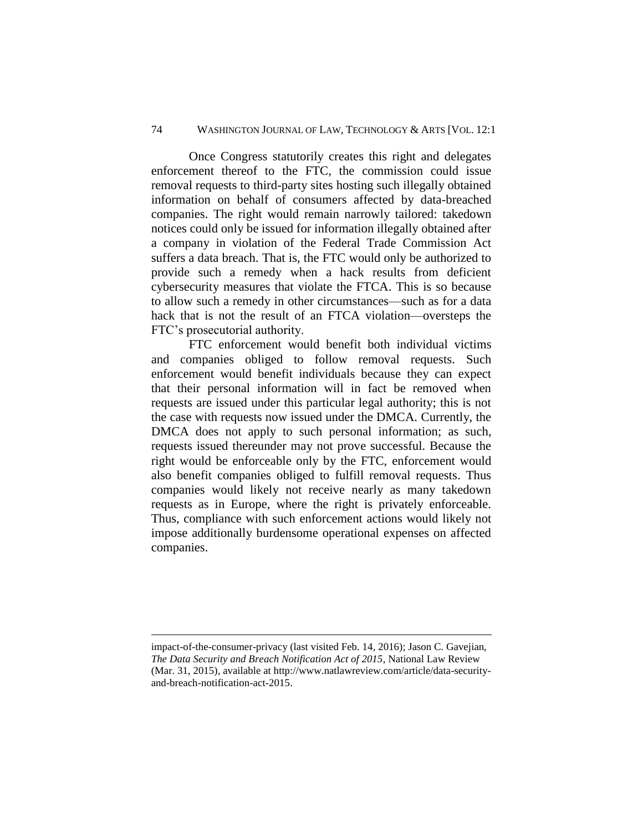Once Congress statutorily creates this right and delegates enforcement thereof to the FTC, the commission could issue removal requests to third-party sites hosting such illegally obtained information on behalf of consumers affected by data-breached companies. The right would remain narrowly tailored: takedown notices could only be issued for information illegally obtained after a company in violation of the Federal Trade Commission Act suffers a data breach. That is, the FTC would only be authorized to provide such a remedy when a hack results from deficient cybersecurity measures that violate the FTCA. This is so because to allow such a remedy in other circumstances—such as for a data hack that is not the result of an FTCA violation—oversteps the FTC's prosecutorial authority.

FTC enforcement would benefit both individual victims and companies obliged to follow removal requests. Such enforcement would benefit individuals because they can expect that their personal information will in fact be removed when requests are issued under this particular legal authority; this is not the case with requests now issued under the DMCA. Currently, the DMCA does not apply to such personal information; as such, requests issued thereunder may not prove successful. Because the right would be enforceable only by the FTC, enforcement would also benefit companies obliged to fulfill removal requests. Thus companies would likely not receive nearly as many takedown requests as in Europe, where the right is privately enforceable. Thus, compliance with such enforcement actions would likely not impose additionally burdensome operational expenses on affected companies.

<span id="page-14-0"></span>impact-of-the-consumer-privacy (last visited Feb. 14, 2016); Jason C. Gavejian, *The Data Security and Breach Notification Act of 2015*, National Law Review (Mar. 31, 2015), available at http://www.natlawreview.com/article/data-securityand-breach-notification-act-2015.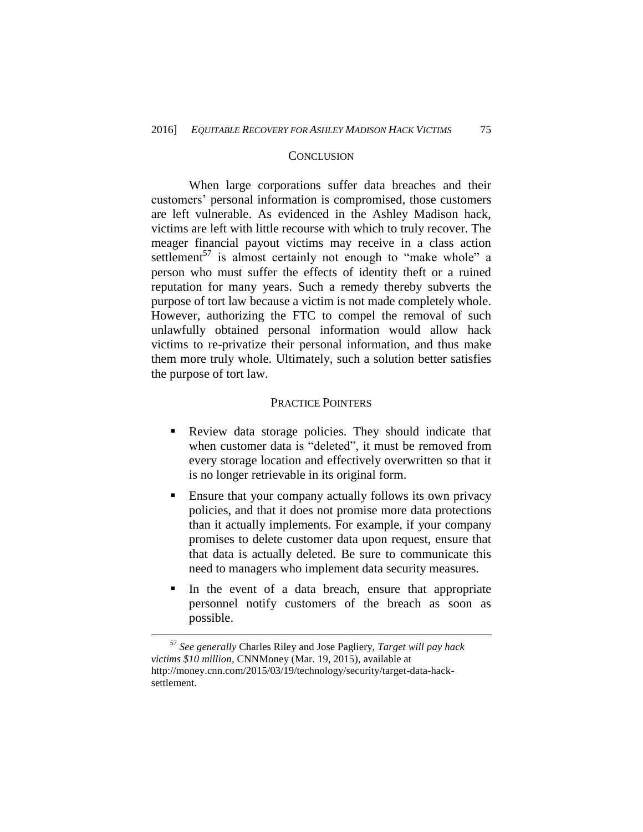### **CONCLUSION**

When large corporations suffer data breaches and their customers' personal information is compromised, those customers are left vulnerable. As evidenced in the Ashley Madison hack, victims are left with little recourse with which to truly recover. The meager financial payout victims may receive in a class action settlement<sup>57</sup> is almost certainly not enough to "make whole" a person who must suffer the effects of identity theft or a ruined reputation for many years. Such a remedy thereby subverts the purpose of tort law because a victim is not made completely whole. However, authorizing the FTC to compel the removal of such unlawfully obtained personal information would allow hack victims to re-privatize their personal information, and thus make them more truly whole. Ultimately, such a solution better satisfies the purpose of tort law.

#### PRACTICE POINTERS

- <span id="page-15-0"></span> Review data storage policies. They should indicate that when customer data is "deleted", it must be removed from every storage location and effectively overwritten so that it is no longer retrievable in its original form.
- Ensure that your company actually follows its own privacy policies, and that it does not promise more data protections than it actually implements. For example, if your company promises to delete customer data upon request, ensure that that data is actually deleted. Be sure to communicate this need to managers who implement data security measures.
- In the event of a data breach, ensure that appropriate personnel notify customers of the breach as soon as possible.

<sup>57</sup> *See generally* Charles Riley and Jose Pagliery, *Target will pay hack victims \$10 million*, CNNMoney (Mar. 19, 2015), available at http://money.cnn.com/2015/03/19/technology/security/target-data-hacksettlement.